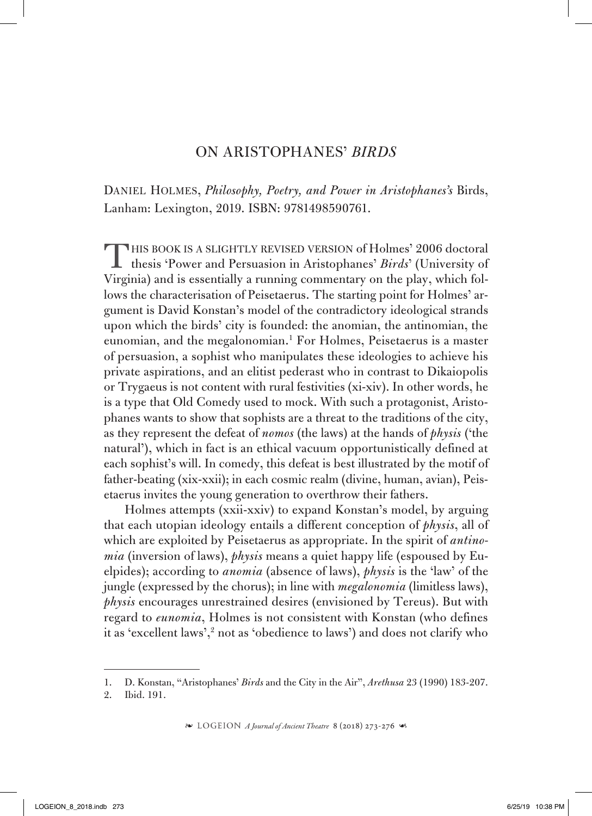## ON ARISTOPHANES' *BIRDS*

Daniel Holmes, *Philosophy, Poetry, and Power in Aristophanes's* Birds, Lanham: Lexington, 2019. ISBN: 9781498590761.

THIS BOOK IS A SLIGHTLY REVISED VERSION of Holmes' 2006 doctoral<br>thesis 'Power and Persuasion in Aristophanes' *Birds*' (University of Virginia) and is essentially a running commentary on the play, which follows the characterisation of Peisetaerus. The starting point for Holmes' argument is David Konstan's model of the contradictory ideological strands upon which the birds' city is founded: the anomian, the antinomian, the eunomian, and the megalonomian.1 For Holmes, Peisetaerus is a master of persuasion, a sophist who manipulates these ideologies to achieve his private aspirations, and an elitist pederast who in contrast to Dikaiopolis or Trygaeus is not content with rural festivities (xi-xiv). In other words, he is a type that Old Comedy used to mock. With such a protagonist, Aristophanes wants to show that sophists are a threat to the traditions of the city, as they represent the defeat of *nomos* (the laws) at the hands of *physis* ('the natural'), which in fact is an ethical vacuum opportunistically defined at each sophist's will. In comedy, this defeat is best illustrated by the motif of father-beating (xix-xxii); in each cosmic realm (divine, human, avian), Peisetaerus invites the young generation to overthrow their fathers.

Holmes attempts (xxii-xxiv) to expand Konstan's model, by arguing that each utopian ideology entails a different conception of *physis*, all of which are exploited by Peisetaerus as appropriate. In the spirit of *antinomia* (inversion of laws), *physis* means a quiet happy life (espoused by Euelpides); according to *anomia* (absence of laws), *physis* is the 'law' of the jungle (expressed by the chorus); in line with *megalonomia* (limitless laws), *physis* encourages unrestrained desires (envisioned by Tereus). But with regard to *eunomia*, Holmes is not consistent with Konstan (who defines it as 'excellent laws',<sup>2</sup> not as 'obedience to laws') and does not clarify who

<sup>1.</sup> D. Konstan, "Aristophanes' *Birds* and the City in the Air", *Arethusa* 23 (1990) 183-207.

<sup>2.</sup> Ibid. 191.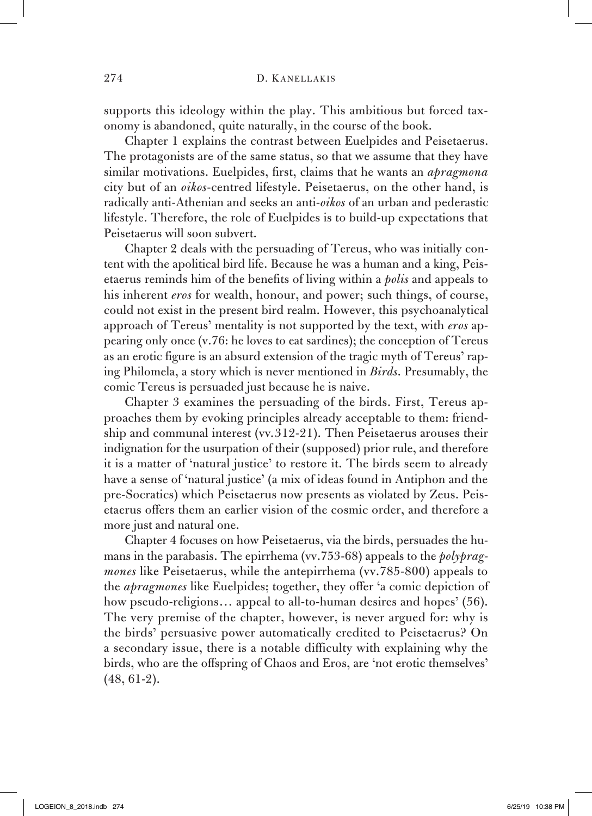supports this ideology within the play. This ambitious but forced taxonomy is abandoned, quite naturally, in the course of the book.

Chapter 1 explains the contrast between Euelpides and Peisetaerus. The protagonists are of the same status, so that we assume that they have similar motivations. Euelpides, first, claims that he wants an *apragmona* city but of an *oikos*-centred lifestyle. Peisetaerus, on the other hand, is radically anti-Athenian and seeks an anti-*oikos* of an urban and pederastic lifestyle. Therefore, the role of Euelpides is to build-up expectations that Peisetaerus will soon subvert.

Chapter 2 deals with the persuading of Tereus, who was initially content with the apolitical bird life. Because he was a human and a king, Peisetaerus reminds him of the benefits of living within a *polis* and appeals to his inherent *eros* for wealth, honour, and power; such things, of course, could not exist in the present bird realm. However, this psychoanalytical approach of Tereus' mentality is not supported by the text, with *eros* appearing only once (v.76: he loves to eat sardines); the conception of Tereus as an erotic figure is an absurd extension of the tragic myth of Tereus' raping Philomela, a story which is never mentioned in *Birds*. Presumably, the comic Tereus is persuaded just because he is naive.

Chapter 3 examines the persuading of the birds. First, Tereus approaches them by evoking principles already acceptable to them: friendship and communal interest (vv.312-21). Then Peisetaerus arouses their indignation for the usurpation of their (supposed) prior rule, and therefore it is a matter of 'natural justice' to restore it. The birds seem to already have a sense of 'natural justice' (a mix of ideas found in Antiphon and the pre-Socratics) which Peisetaerus now presents as violated by Zeus. Peisetaerus offers them an earlier vision of the cosmic order, and therefore a more just and natural one.

Chapter 4 focuses on how Peisetaerus, via the birds, persuades the humans in the parabasis. The epirrhema (vv.753-68) appeals to the *polypragmones* like Peisetaerus, while the antepirrhema (vv.785-800) appeals to the *apragmones* like Euelpides; together, they offer 'a comic depiction of how pseudo-religions... appeal to all-to-human desires and hopes' (56). The very premise of the chapter, however, is never argued for: why is the birds' persuasive power automatically credited to Peisetaerus? On a secondary issue, there is a notable difficulty with explaining why the birds, who are the offspring of Chaos and Eros, are 'not erotic themselves' (48, 61-2).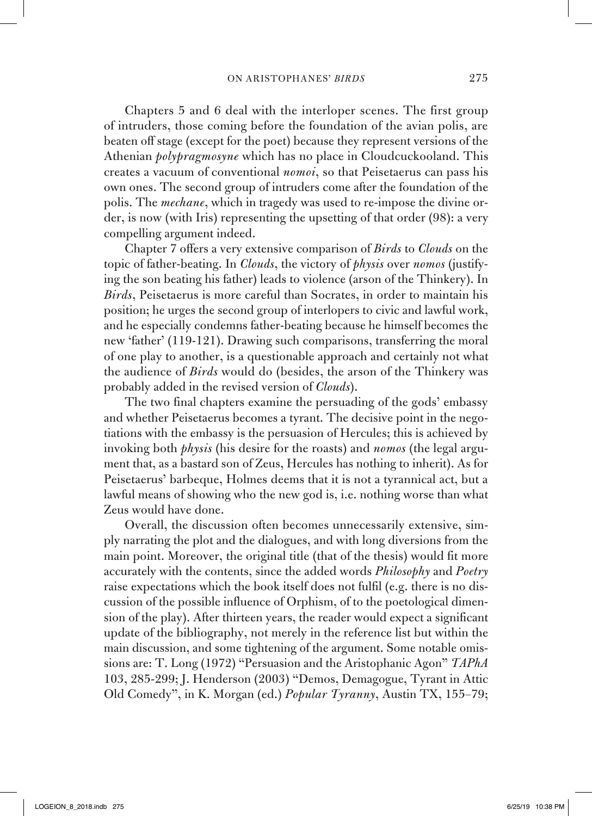Chapters 5 and 6 deal with the interloper scenes. The first group of intruders, those coming before the foundation of the avian polis, are beaten off stage (except for the poet) because they represent versions of the Athenian *polypragmosyne* which has no place in Cloudcuckooland. This creates a vacuum of conventional *nomoi*, so that Peisetaerus can pass his own ones. The second group of intruders come after the foundation of the polis. The *mechane*, which in tragedy was used to re-impose the divine order, is now (with Iris) representing the upsetting of that order (98): a very compelling argument indeed.

Chapter 7 offers a very extensive comparison of *Birds* to *Clouds* on the topic of father-beating. In *Clouds*, the victory of *physis* over *nomos* (justifying the son beating his father) leads to violence (arson of the Thinkery). In *Birds*, Peisetaerus is more careful than Socrates, in order to maintain his position; he urges the second group of interlopers to civic and lawful work, and he especially condemns father-beating because he himself becomes the new 'father' (119-121). Drawing such comparisons, transferring the moral of one play to another, is a questionable approach and certainly not what the audience of *Birds* would do (besides, the arson of the Thinkery was probably added in the revised version of *Clouds*).

The two final chapters examine the persuading of the gods' embassy and whether Peisetaerus becomes a tyrant. The decisive point in the negotiations with the embassy is the persuasion of Hercules; this is achieved by invoking both *physis* (his desire for the roasts) and *nomos* (the legal argument that, as a bastard son of Zeus, Hercules has nothing to inherit). As for Peisetaerus' barbeque, Holmes deems that it is not a tyrannical act, but a lawful means of showing who the new god is, i.e. nothing worse than what Zeus would have done.

Overall, the discussion often becomes unnecessarily extensive, simply narrating the plot and the dialogues, and with long diversions from the main point. Moreover, the original title (that of the thesis) would fit more accurately with the contents, since the added words *Philosophy* and *Poetry* raise expectations which the book itself does not fulfil (e.g. there is no discussion of the possible influence of Orphism, of to the poetological dimension of the play). After thirteen years, the reader would expect a significant update of the bibliography, not merely in the reference list but within the main discussion, and some tightening of the argument. Some notable omissions are: T. Long (1972) "Persuasion and the Aristophanic Agon" *TAPhA* 103, 285-299; J. Henderson (2003) "Demos, Demagogue, Tyrant in Attic Old Comedy", in K. Morgan (ed.) *Popular Tyranny*, Austin TX, 155–79;